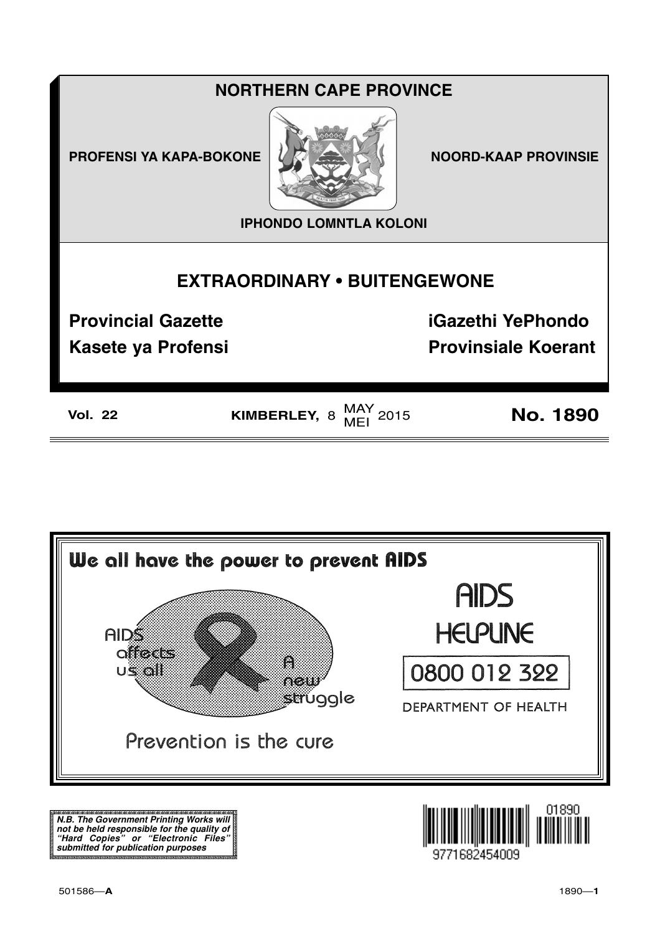| <b>NORTHERN CAPE PROVINCE</b>       |              |                             |  |
|-------------------------------------|--------------|-----------------------------|--|
| <b>PROFENSI YA KAPA-BOKONE</b>      |              | <b>NOORD-KAAP PROVINSIE</b> |  |
| <b>IPHONDO LOMNTLA KOLONI</b>       |              |                             |  |
| <b>EXTRAORDINARY • BUITENGEWONE</b> |              |                             |  |
| <b>Provincial Gazette</b>           |              | <b>iGazethi YePhondo</b>    |  |
| Kasete ya Profensi                  |              | <b>Provinsiale Koerant</b>  |  |
| <b>Vol. 22</b>                      | KIMBERLEY, 8 | <b>No. 1890</b>             |  |



N.B. The Government Printing Works will n.b. The dovernment Printing works win<br>not be held responsible for the quality of<br>"Hard Copies" or "Electronic Files"<br>submitted for publication purposes

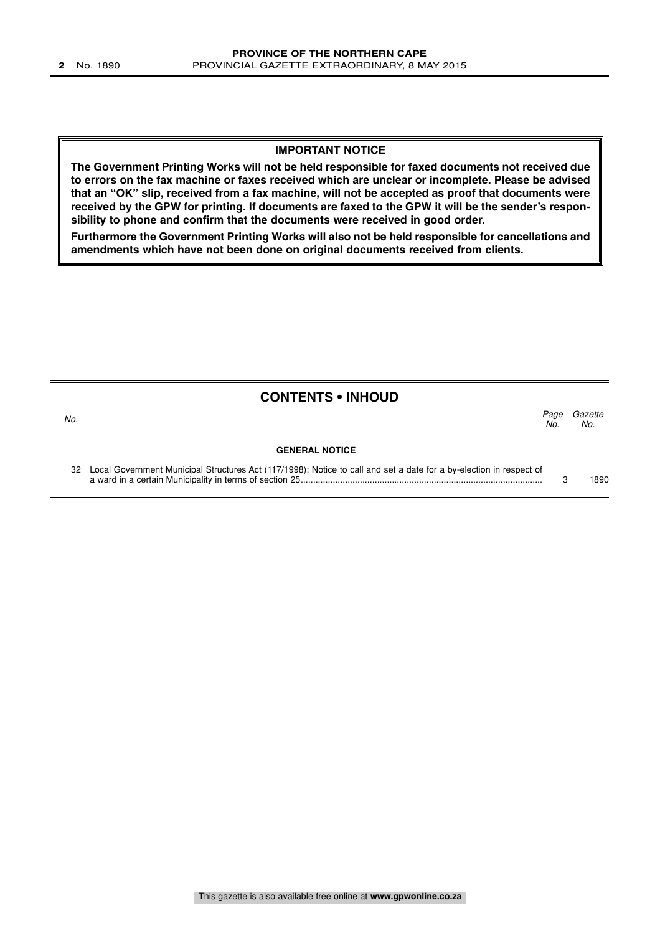#### **IMPORTANT NOTICE**

**The Government Printing Works will not be held responsible for faxed documents not received due to errors on the fax machine or faxes received which are unclear or incomplete. Please be advised that an "OK" slip, received from a fax machine, will not be accepted as proof that documents were received by the GPW for printing. If documents are faxed to the GPW it will be the sender's responsibility to phone and confirm that the documents were received in good order.**

**Furthermore the Government Printing Works will also not be held responsible for cancellations and amendments which have not been done on original documents received from clients.**

### **CONTENTS • INHOUD**

**GENERAL NOTICE** Page Gazette  $N<sub>O</sub>$ No.  $\sim$  No.

32 Local Government Municipal Structures Act (117/1998): Notice to call and set a date for a by-election in respect of a ward in a certain Municipality in terms of section 25.................................................................................................. 3 1890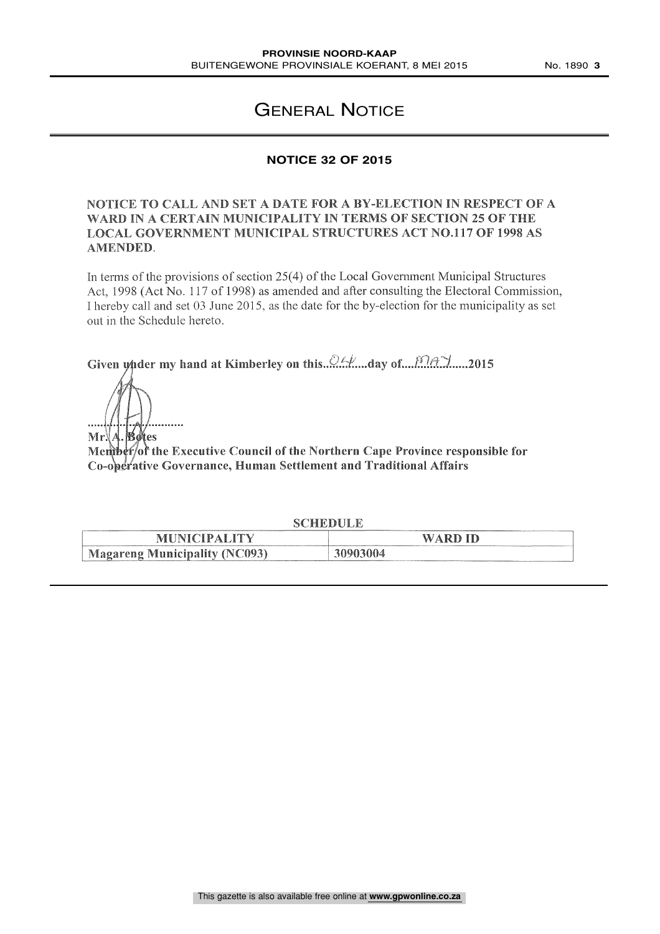# GENERAL NOTICE

# **NOTICE 32 OF 2015**

## NOTICE TO CALL AND SET A DATE FOR A BY-ELECTION IN RESPECT OF A WARD IN A CERTAIN MUNICIPALITY IN TERMS OF SECTION 25 OF THE LOCAL GOVERNMENT MUNICIPAL STRUCTURES ACT NO.117 OF 1998 AS AMENDED.

In terms of the provisions of section 25(4) of the Local Government Municipal Structures Act, 1998 (Act No. 117 of 1998) as amended and after consulting the Electoral Commission, I hereby call and set 03 June 2015, as the date for the by-election for the municipality as set out in the Schedule hereto.

Given wider my hand at Kimberley on this..c1-.:., ....day of ......2015

Mr. A. Botes

Member/of the Executive Council of the Northern Cape Province responsible for Co-operative Governance, Human Settlement and Traditional Affairs

| CHEDULE<br>$\sim$ (                  |          |  |  |
|--------------------------------------|----------|--|--|
| <b>MUNICIPALITY</b>                  | WARD ID  |  |  |
| <b>Magareng Municipality (NC093)</b> | 30903004 |  |  |